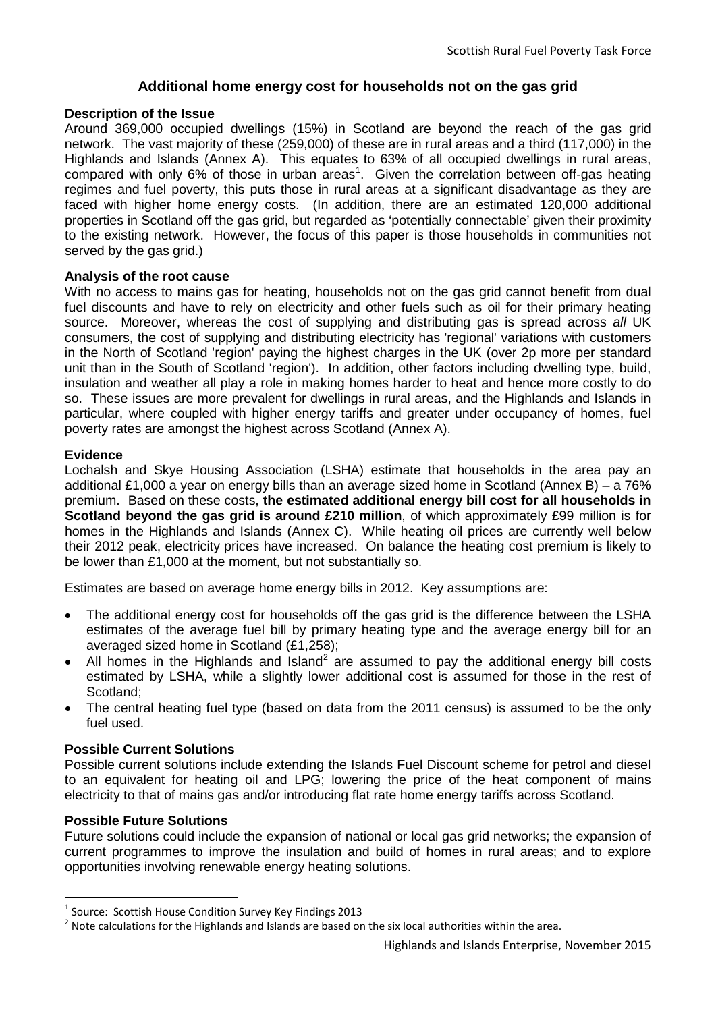# **Additional home energy cost for households not on the gas grid**

#### **Description of the Issue**

Around 369,000 occupied dwellings (15%) in Scotland are beyond the reach of the gas grid network. The vast majority of these (259,000) of these are in rural areas and a third (117,000) in the Highlands and Islands (Annex A). This equates to 63% of all occupied dwellings in rural areas, compared with only 6% of those in urban areas<sup>[1](#page-0-0)</sup>. Given the correlation between off-gas heating regimes and fuel poverty, this puts those in rural areas at a significant disadvantage as they are faced with higher home energy costs. (In addition, there are an estimated 120,000 additional properties in Scotland off the gas grid, but regarded as 'potentially connectable' given their proximity to the existing network. However, the focus of this paper is those households in communities not served by the gas grid.)

#### **Analysis of the root cause**

With no access to mains gas for heating, households not on the gas grid cannot benefit from dual fuel discounts and have to rely on electricity and other fuels such as oil for their primary heating source. Moreover, whereas the cost of supplying and distributing gas is spread across *all* UK consumers, the cost of supplying and distributing electricity has 'regional' variations with customers in the North of Scotland 'region' paying the highest charges in the UK (over 2p more per standard unit than in the South of Scotland 'region'). In addition, other factors including dwelling type, build, insulation and weather all play a role in making homes harder to heat and hence more costly to do so. These issues are more prevalent for dwellings in rural areas, and the Highlands and Islands in particular, where coupled with higher energy tariffs and greater under occupancy of homes, fuel poverty rates are amongst the highest across Scotland (Annex A).

## **Evidence**

Lochalsh and Skye Housing Association (LSHA) estimate that households in the area pay an additional £1,000 a year on energy bills than an average sized home in Scotland (Annex B) – a 76% premium. Based on these costs, **the estimated additional energy bill cost for all households in Scotland beyond the gas grid is around £210 million**, of which approximately £99 million is for homes in the Highlands and Islands (Annex C). While heating oil prices are currently well below their 2012 peak, electricity prices have increased. On balance the heating cost premium is likely to be lower than £1,000 at the moment, but not substantially so.

Estimates are based on average home energy bills in 2012. Key assumptions are:

- The additional energy cost for households off the gas grid is the difference between the LSHA estimates of the average fuel bill by primary heating type and the average energy bill for an averaged sized home in Scotland (£1,258);
- All homes in the Highlands and Island<sup>[2](#page-0-1)</sup> are assumed to pay the additional energy bill costs estimated by LSHA, while a slightly lower additional cost is assumed for those in the rest of Scotland;
- The central heating fuel type (based on data from the 2011 census) is assumed to be the only fuel used.

## **Possible Current Solutions**

Possible current solutions include extending the Islands Fuel Discount scheme for petrol and diesel to an equivalent for heating oil and LPG; lowering the price of the heat component of mains electricity to that of mains gas and/or introducing flat rate home energy tariffs across Scotland.

## **Possible Future Solutions**

Future solutions could include the expansion of national or local gas grid networks; the expansion of current programmes to improve the insulation and build of homes in rural areas; and to explore opportunities involving renewable energy heating solutions.

<span id="page-0-0"></span> <sup>1</sup> Source: Scottish House Condition Survey Key Findings 2013

<span id="page-0-1"></span> $2$  Note calculations for the Highlands and Islands are based on the six local authorities within the area.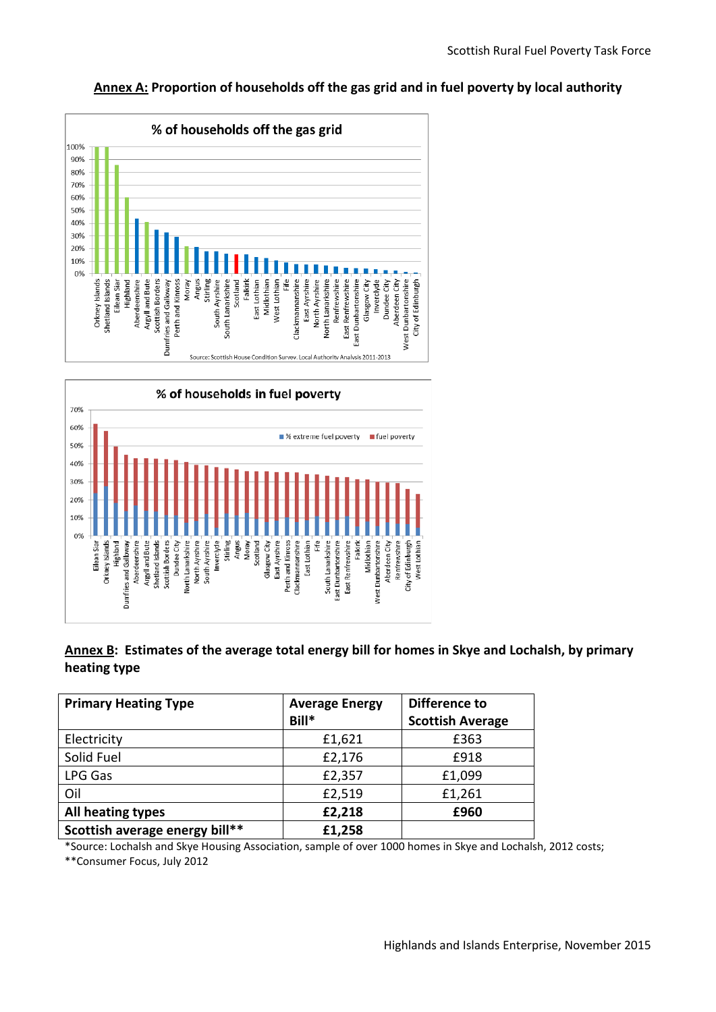## **Annex A: Proportion of households off the gas grid and in fuel poverty by local authority**





# **Annex B: Estimates of the average total energy bill for homes in Skye and Lochalsh, by primary heating type**

| <b>Primary Heating Type</b>    | <b>Average Energy</b><br>Bill* | Difference to<br><b>Scottish Average</b> |
|--------------------------------|--------------------------------|------------------------------------------|
| Electricity                    | £1,621                         | £363                                     |
| Solid Fuel                     | £2,176                         | £918                                     |
| LPG Gas                        | £2,357                         | £1,099                                   |
| Oil                            | £2,519                         | £1,261                                   |
| All heating types              | £2,218                         | £960                                     |
| Scottish average energy bill** | £1,258                         |                                          |

\*Source: Lochalsh and Skye Housing Association, sample of over 1000 homes in Skye and Lochalsh, 2012 costs;

\*\*Consumer Focus, July 2012